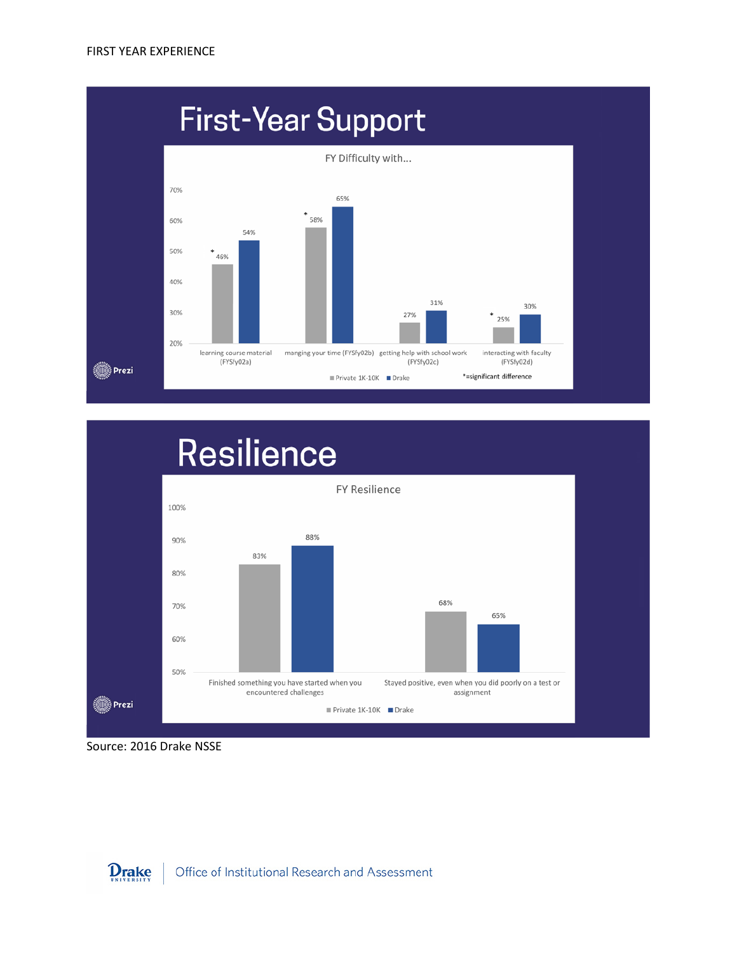





Source: 2016 Drake NSSE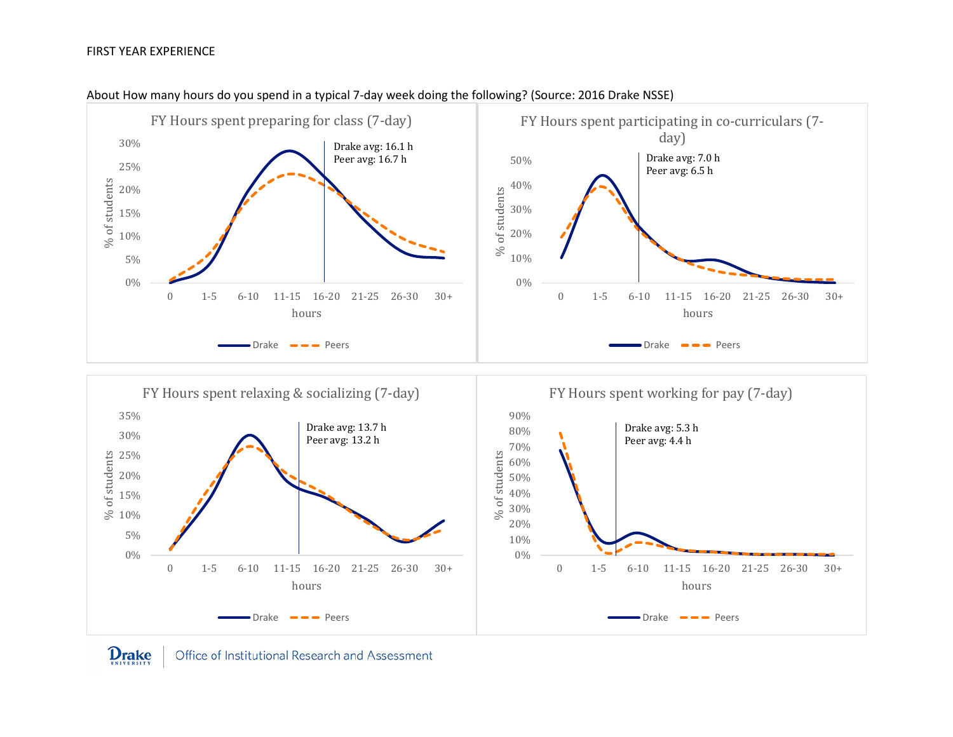## FIRST YEAR EXPERIENCE



## About How many hours do you spend in a typical 7-day week doing the following? (Source: 2016 Drake NSSE)

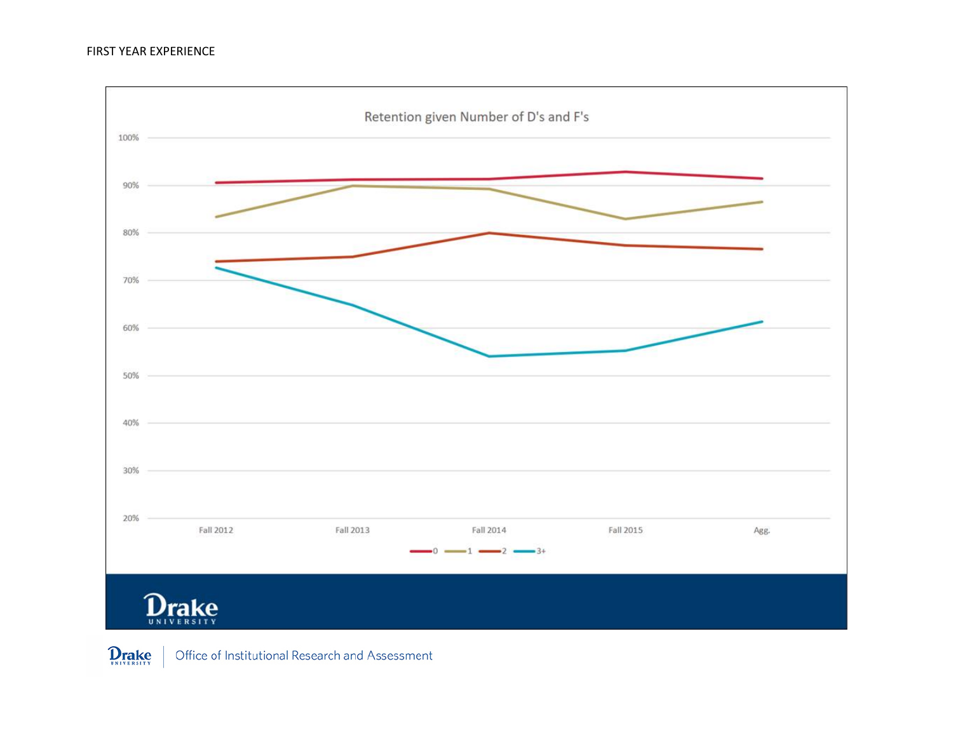

**Drake** Office of Institutional Research and Assessment